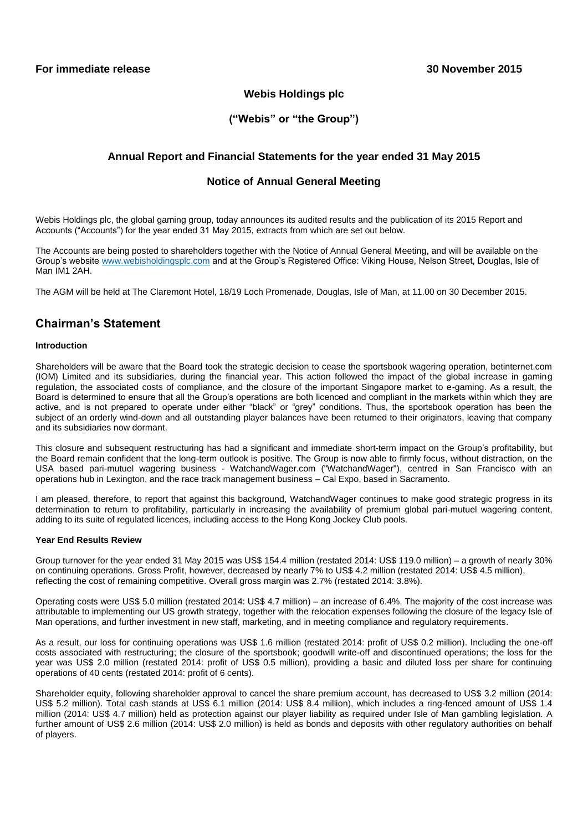## **Webis Holdings plc**

## **("Webis" or "the Group")**

## **Annual Report and Financial Statements for the year ended 31 May 2015**

## **Notice of Annual General Meeting**

Webis Holdings plc, the global gaming group, today announces its audited results and the publication of its 2015 Report and Accounts ("Accounts") for the year ended 31 May 2015, extracts from which are set out below.

The Accounts are being posted to shareholders together with the Notice of Annual General Meeting, and will be available on the Group's website [www.webisholdingsplc.com](http://www.webisholdingsplc.com/) and at the Group's Registered Office: Viking House, Nelson Street, Douglas, Isle of Man IM1 2AH.

The AGM will be held at The Claremont Hotel, 18/19 Loch Promenade, Douglas, Isle of Man, at 11.00 on 30 December 2015.

## **Chairman's Statement**

## **Introduction**

Shareholders will be aware that the Board took the strategic decision to cease the sportsbook wagering operation, betinternet.com (IOM) Limited and its subsidiaries, during the financial year. This action followed the impact of the global increase in gaming regulation, the associated costs of compliance, and the closure of the important Singapore market to e-gaming. As a result, the Board is determined to ensure that all the Group's operations are both licenced and compliant in the markets within which they are active, and is not prepared to operate under either "black" or "grey" conditions. Thus, the sportsbook operation has been the subject of an orderly wind-down and all outstanding player balances have been returned to their originators, leaving that company and its subsidiaries now dormant.

This closure and subsequent restructuring has had a significant and immediate short-term impact on the Group's profitability, but the Board remain confident that the long-term outlook is positive. The Group is now able to firmly focus, without distraction, on the USA based pari-mutuel wagering business - WatchandWager.com ("WatchandWager"), centred in San Francisco with an operations hub in Lexington, and the race track management business – Cal Expo, based in Sacramento.

I am pleased, therefore, to report that against this background, WatchandWager continues to make good strategic progress in its determination to return to profitability, particularly in increasing the availability of premium global pari-mutuel wagering content, adding to its suite of regulated licences, including access to the Hong Kong Jockey Club pools.

## **Year End Results Review**

Group turnover for the year ended 31 May 2015 was US\$ 154.4 million (restated 2014: US\$ 119.0 million) – a growth of nearly 30% on continuing operations. Gross Profit, however, decreased by nearly 7% to US\$ 4.2 million (restated 2014: US\$ 4.5 million), reflecting the cost of remaining competitive. Overall gross margin was 2.7% (restated 2014: 3.8%).

Operating costs were US\$ 5.0 million (restated 2014: US\$ 4.7 million) – an increase of 6.4%. The majority of the cost increase was attributable to implementing our US growth strategy, together with the relocation expenses following the closure of the legacy Isle of Man operations, and further investment in new staff, marketing, and in meeting compliance and regulatory requirements.

As a result, our loss for continuing operations was US\$ 1.6 million (restated 2014: profit of US\$ 0.2 million). Including the one-off costs associated with restructuring; the closure of the sportsbook; goodwill write-off and discontinued operations; the loss for the year was US\$ 2.0 million (restated 2014: profit of US\$ 0.5 million), providing a basic and diluted loss per share for continuing operations of 40 cents (restated 2014: profit of 6 cents).

Shareholder equity, following shareholder approval to cancel the share premium account, has decreased to US\$ 3.2 million (2014: US\$ 5.2 million). Total cash stands at US\$ 6.1 million (2014: US\$ 8.4 million), which includes a ring-fenced amount of US\$ 1.4 million (2014: US\$ 4.7 million) held as protection against our player liability as required under Isle of Man gambling legislation. A further amount of US\$ 2.6 million (2014: US\$ 2.0 million) is held as bonds and deposits with other regulatory authorities on behalf of players.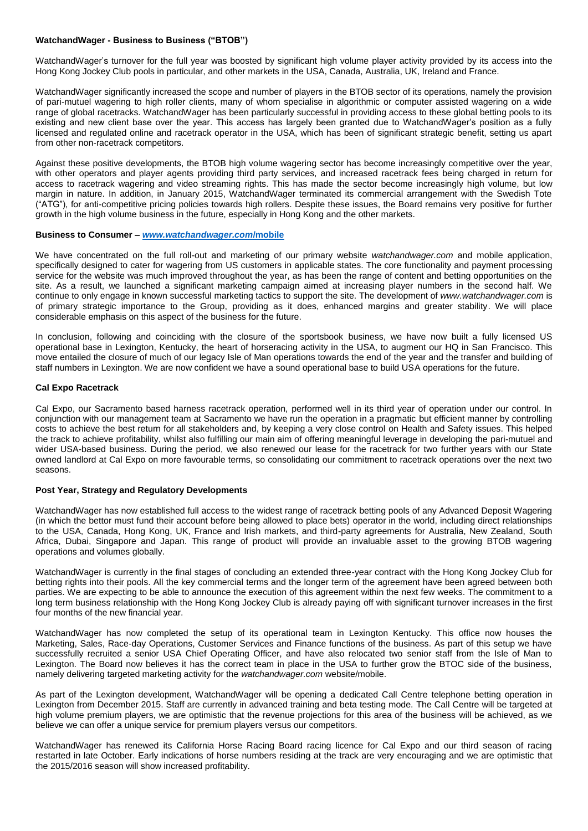## **WatchandWager - Business to Business ("BTOB")**

WatchandWager's turnover for the full year was boosted by significant high volume player activity provided by its access into the Hong Kong Jockey Club pools in particular, and other markets in the USA, Canada, Australia, UK, Ireland and France.

WatchandWager significantly increased the scope and number of players in the BTOB sector of its operations, namely the provision of pari-mutuel wagering to high roller clients, many of whom specialise in algorithmic or computer assisted wagering on a wide range of global racetracks. WatchandWager has been particularly successful in providing access to these global betting pools to its existing and new client base over the year. This access has largely been granted due to WatchandWager's position as a fully licensed and regulated online and racetrack operator in the USA, which has been of significant strategic benefit, setting us apart from other non-racetrack competitors.

Against these positive developments, the BTOB high volume wagering sector has become increasingly competitive over the year, with other operators and player agents providing third party services, and increased racetrack fees being charged in return for access to racetrack wagering and video streaming rights. This has made the sector become increasingly high volume, but low margin in nature. In addition, in January 2015, WatchandWager terminated its commercial arrangement with the Swedish Tote ("ATG"), for anti-competitive pricing policies towards high rollers. Despite these issues, the Board remains very positive for further growth in the high volume business in the future, especially in Hong Kong and the other markets.

## **Business to Consumer –** *[www.watchandwager.com](http://www.watchandwager.com/mobile)***/mobile**

We have concentrated on the full roll-out and marketing of our primary website *watchandwager.com* and mobile application, specifically designed to cater for wagering from US customers in applicable states. The core functionality and payment processing service for the website was much improved throughout the year, as has been the range of content and betting opportunities on the site. As a result, we launched a significant marketing campaign aimed at increasing player numbers in the second half. We continue to only engage in known successful marketing tactics to support the site. The development of *www.watchandwager.com* is of primary strategic importance to the Group, providing as it does, enhanced margins and greater stability. We will place considerable emphasis on this aspect of the business for the future.

In conclusion, following and coinciding with the closure of the sportsbook business, we have now built a fully licensed US operational base in Lexington, Kentucky, the heart of horseracing activity in the USA, to augment our HQ in San Francisco. This move entailed the closure of much of our legacy Isle of Man operations towards the end of the year and the transfer and building of staff numbers in Lexington. We are now confident we have a sound operational base to build USA operations for the future.

## **Cal Expo Racetrack**

Cal Expo, our Sacramento based harness racetrack operation, performed well in its third year of operation under our control. In conjunction with our management team at Sacramento we have run the operation in a pragmatic but efficient manner by controlling costs to achieve the best return for all stakeholders and, by keeping a very close control on Health and Safety issues. This helped the track to achieve profitability, whilst also fulfilling our main aim of offering meaningful leverage in developing the pari-mutuel and wider USA-based business. During the period, we also renewed our lease for the racetrack for two further years with our State owned landlord at Cal Expo on more favourable terms, so consolidating our commitment to racetrack operations over the next two seasons.

## **Post Year, Strategy and Regulatory Developments**

WatchandWager has now established full access to the widest range of racetrack betting pools of any Advanced Deposit Wagering (in which the bettor must fund their account before being allowed to place bets) operator in the world, including direct relationships to the USA, Canada, Hong Kong, UK, France and Irish markets, and third-party agreements for Australia, New Zealand, South Africa, Dubai, Singapore and Japan. This range of product will provide an invaluable asset to the growing BTOB wagering operations and volumes globally.

WatchandWager is currently in the final stages of concluding an extended three-year contract with the Hong Kong Jockey Club for betting rights into their pools. All the key commercial terms and the longer term of the agreement have been agreed between both parties. We are expecting to be able to announce the execution of this agreement within the next few weeks. The commitment to a long term business relationship with the Hong Kong Jockey Club is already paying off with significant turnover increases in the first four months of the new financial year.

WatchandWager has now completed the setup of its operational team in Lexington Kentucky. This office now houses the Marketing, Sales, Race-day Operations, Customer Services and Finance functions of the business. As part of this setup we have successfully recruited a senior USA Chief Operating Officer, and have also relocated two senior staff from the Isle of Man to Lexington. The Board now believes it has the correct team in place in the USA to further grow the BTOC side of the business, namely delivering targeted marketing activity for the *watchandwager.com* website/mobile.

As part of the Lexington development, WatchandWager will be opening a dedicated Call Centre telephone betting operation in Lexington from December 2015. Staff are currently in advanced training and beta testing mode. The Call Centre will be targeted at high volume premium players, we are optimistic that the revenue projections for this area of the business will be achieved, as we believe we can offer a unique service for premium players versus our competitors.

WatchandWager has renewed its California Horse Racing Board racing licence for Cal Expo and our third season of racing restarted in late October. Early indications of horse numbers residing at the track are very encouraging and we are optimistic that the 2015/2016 season will show increased profitability.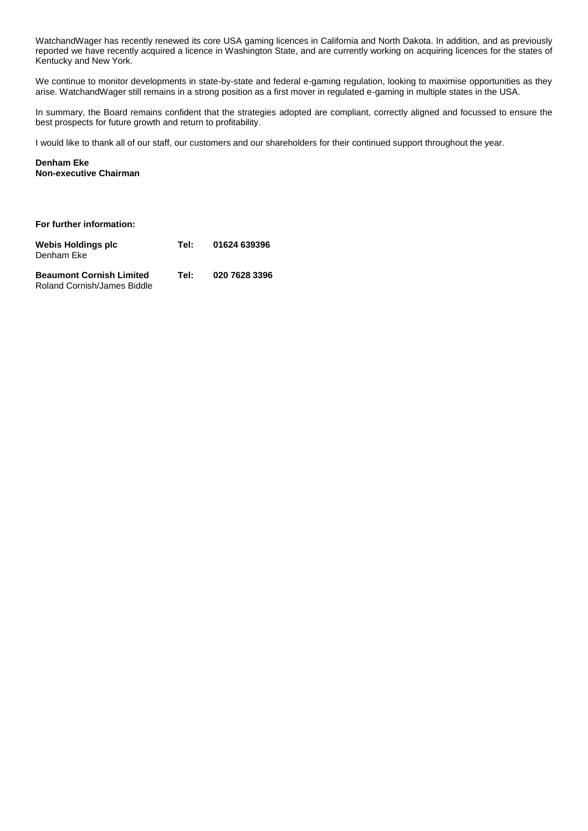WatchandWager has recently renewed its core USA gaming licences in California and North Dakota. In addition, and as previously reported we have recently acquired a licence in Washington State, and are currently working on acquiring licences for the states of Kentucky and New York.

We continue to monitor developments in state-by-state and federal e-gaming regulation, looking to maximise opportunities as they arise. WatchandWager still remains in a strong position as a first mover in regulated e-gaming in multiple states in the USA.

In summary, the Board remains confident that the strategies adopted are compliant, correctly aligned and focussed to ensure the best prospects for future growth and return to profitability.

I would like to thank all of our staff, our customers and our shareholders for their continued support throughout the year.

**Denham Eke Non-executive Chairman**

| For further information:                                       |      |               |  |  |  |
|----------------------------------------------------------------|------|---------------|--|--|--|
| Webis Holdings plc<br>Denham Eke                               | Tel: | 01624 639396  |  |  |  |
| <b>Beaumont Cornish Limited</b><br>Roland Cornish/James Biddle | Tel: | 020 7628 3396 |  |  |  |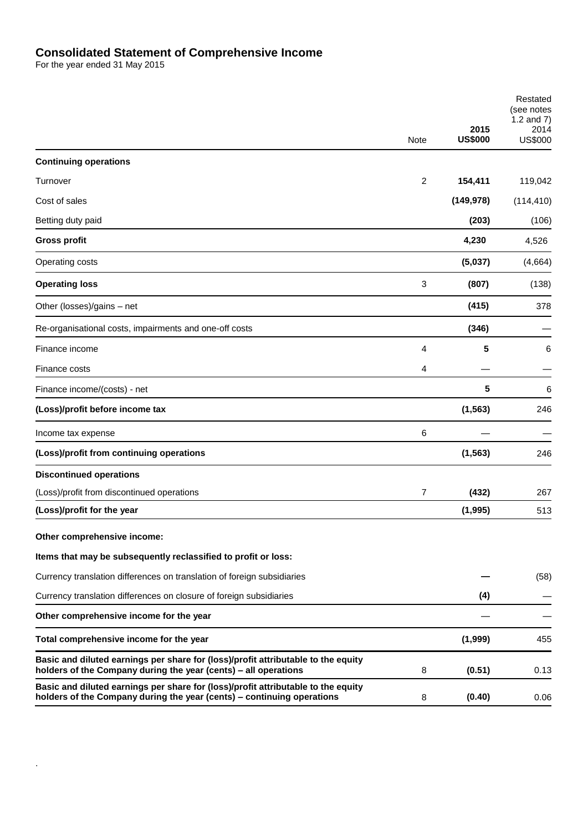## **Consolidated Statement of Comprehensive Income**

For the year ended 31 May 2015

.

|                                                                                                                                                             | Note | 2015<br><b>US\$000</b> | Restated<br>(see notes<br>1.2 and $7)$<br>2014<br><b>US\$000</b> |
|-------------------------------------------------------------------------------------------------------------------------------------------------------------|------|------------------------|------------------------------------------------------------------|
| <b>Continuing operations</b>                                                                                                                                |      |                        |                                                                  |
| Turnover                                                                                                                                                    | 2    |                        |                                                                  |
|                                                                                                                                                             |      | 154,411                | 119,042                                                          |
| Cost of sales                                                                                                                                               |      | (149, 978)             | (114, 410)                                                       |
| Betting duty paid                                                                                                                                           |      | (203)                  | (106)                                                            |
| <b>Gross profit</b>                                                                                                                                         |      | 4,230                  | 4,526                                                            |
| Operating costs                                                                                                                                             |      | (5,037)                | (4,664)                                                          |
| <b>Operating loss</b>                                                                                                                                       | 3    | (807)                  | (138)                                                            |
| Other (losses)/gains - net                                                                                                                                  |      | (415)                  | 378                                                              |
| Re-organisational costs, impairments and one-off costs                                                                                                      |      | (346)                  |                                                                  |
| Finance income                                                                                                                                              | 4    | 5                      | 6                                                                |
| Finance costs                                                                                                                                               | 4    |                        |                                                                  |
| Finance income/(costs) - net                                                                                                                                |      | 5                      | 6                                                                |
| (Loss)/profit before income tax                                                                                                                             |      | (1, 563)               | 246                                                              |
| Income tax expense                                                                                                                                          | 6    |                        |                                                                  |
| (Loss)/profit from continuing operations                                                                                                                    |      | (1, 563)               | 246                                                              |
| <b>Discontinued operations</b>                                                                                                                              |      |                        |                                                                  |
| (Loss)/profit from discontinued operations                                                                                                                  | 7    | (432)                  | 267                                                              |
| (Loss)/profit for the year                                                                                                                                  |      | (1,995)                | 513                                                              |
| Other comprehensive income:                                                                                                                                 |      |                        |                                                                  |
| Items that may be subsequently reclassified to profit or loss:                                                                                              |      |                        |                                                                  |
| Currency translation differences on translation of foreign subsidiaries                                                                                     |      |                        | (58)                                                             |
| Currency translation differences on closure of foreign subsidiaries                                                                                         |      | (4)                    |                                                                  |
| Other comprehensive income for the year                                                                                                                     |      |                        |                                                                  |
| Total comprehensive income for the year                                                                                                                     |      | (1,999)                | 455                                                              |
| Basic and diluted earnings per share for (loss)/profit attributable to the equity<br>holders of the Company during the year (cents) - all operations        | 8    | (0.51)                 | 0.13                                                             |
| Basic and diluted earnings per share for (loss)/profit attributable to the equity<br>holders of the Company during the year (cents) - continuing operations | 8    | (0.40)                 | 0.06                                                             |
|                                                                                                                                                             |      |                        |                                                                  |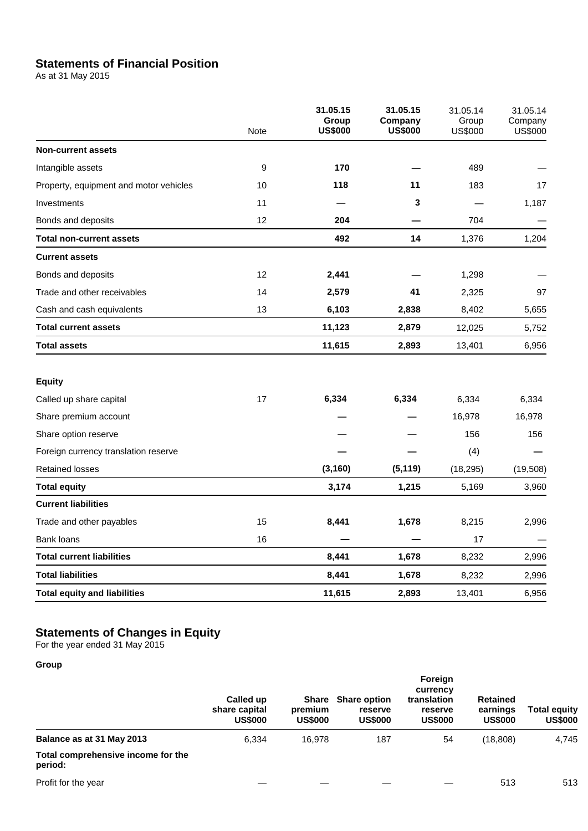# **Statements of Financial Position**

As at 31 May 2015

|                                        | <b>Note</b> | 31.05.15<br>Group<br><b>US\$000</b> | 31.05.15<br>Company<br><b>US\$000</b> | 31.05.14<br>Group<br><b>US\$000</b> | 31.05.14<br>Company<br><b>US\$000</b> |
|----------------------------------------|-------------|-------------------------------------|---------------------------------------|-------------------------------------|---------------------------------------|
| <b>Non-current assets</b>              |             |                                     |                                       |                                     |                                       |
| Intangible assets                      | 9           | 170                                 |                                       | 489                                 |                                       |
| Property, equipment and motor vehicles | 10          | 118                                 | 11                                    | 183                                 | 17                                    |
| Investments                            | 11          |                                     | 3                                     |                                     | 1,187                                 |
| Bonds and deposits                     | 12          | 204                                 |                                       | 704                                 |                                       |
| <b>Total non-current assets</b>        |             | 492                                 | 14                                    | 1,376                               | 1,204                                 |
| <b>Current assets</b>                  |             |                                     |                                       |                                     |                                       |
| Bonds and deposits                     | 12          | 2,441                               |                                       | 1,298                               |                                       |
| Trade and other receivables            | 14          | 2,579                               | 41                                    | 2,325                               | 97                                    |
| Cash and cash equivalents              | 13          | 6,103                               | 2,838                                 | 8,402                               | 5,655                                 |
| <b>Total current assets</b>            |             | 11,123                              | 2,879                                 | 12,025                              | 5,752                                 |
| <b>Total assets</b>                    |             | 11,615                              | 2,893                                 | 13,401                              | 6,956                                 |
| <b>Equity</b>                          |             |                                     |                                       |                                     |                                       |
| Called up share capital                | 17          | 6,334                               | 6,334                                 | 6,334                               | 6,334                                 |
| Share premium account                  |             |                                     |                                       | 16,978                              | 16,978                                |
| Share option reserve                   |             |                                     |                                       | 156                                 | 156                                   |
| Foreign currency translation reserve   |             |                                     |                                       | (4)                                 |                                       |
| <b>Retained losses</b>                 |             | (3, 160)                            | (5, 119)                              | (18, 295)                           | (19,508)                              |
| <b>Total equity</b>                    |             | 3,174                               | 1,215                                 | 5,169                               | 3,960                                 |
| <b>Current liabilities</b>             |             |                                     |                                       |                                     |                                       |
| Trade and other payables               | 15          | 8,441                               | 1,678                                 | 8,215                               | 2,996                                 |
| <b>Bank loans</b>                      | 16          |                                     |                                       | 17                                  |                                       |
| <b>Total current liabilities</b>       |             | 8,441                               | 1,678                                 | 8,232                               | 2,996                                 |
| <b>Total liabilities</b>               |             | 8,441                               | 1,678                                 | 8,232                               | 2,996                                 |
| <b>Total equity and liabilities</b>    |             | 11,615                              | 2,893                                 | 13,401                              | 6,956                                 |

## **Statements of Changes in Equity**

For the year ended 31 May 2015

## **Group**

|                                               | Called up<br>share capital<br><b>US\$000</b> | premium<br><b>US\$000</b> | Share Share option<br>reserve<br><b>US\$000</b> | Foreign<br>currency<br>translation<br>reserve<br><b>US\$000</b> | <b>Retained</b><br>earnings<br><b>US\$000</b> | <b>Total equity</b><br><b>US\$000</b> |
|-----------------------------------------------|----------------------------------------------|---------------------------|-------------------------------------------------|-----------------------------------------------------------------|-----------------------------------------------|---------------------------------------|
| Balance as at 31 May 2013                     | 6.334                                        | 16.978                    | 187                                             | 54                                                              | (18, 808)                                     | 4,745                                 |
| Total comprehensive income for the<br>period: |                                              |                           |                                                 |                                                                 |                                               |                                       |
| Profit for the year                           |                                              |                           |                                                 |                                                                 | 513                                           | 513                                   |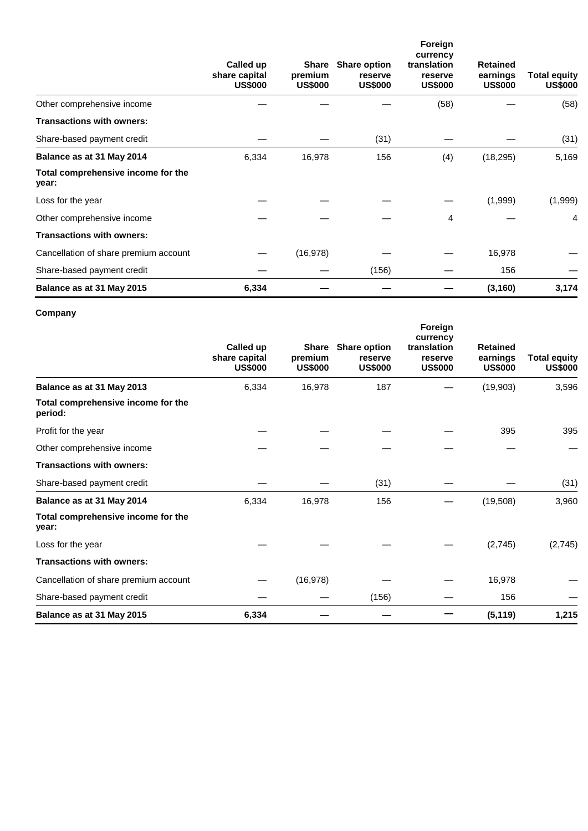|                                             | Called up<br>share capital<br><b>US\$000</b> | Share<br>premium<br><b>US\$000</b> | <b>Share option</b><br>reserve<br><b>US\$000</b> | Foreign<br>currency<br>translation<br>reserve<br><b>US\$000</b> | <b>Retained</b><br>earnings<br><b>US\$000</b> | Total equity<br><b>US\$000</b> |
|---------------------------------------------|----------------------------------------------|------------------------------------|--------------------------------------------------|-----------------------------------------------------------------|-----------------------------------------------|--------------------------------|
| Other comprehensive income                  |                                              |                                    |                                                  | (58)                                                            |                                               | (58)                           |
| <b>Transactions with owners:</b>            |                                              |                                    |                                                  |                                                                 |                                               |                                |
| Share-based payment credit                  |                                              |                                    | (31)                                             |                                                                 |                                               | (31)                           |
| Balance as at 31 May 2014                   | 6,334                                        | 16,978                             | 156                                              | (4)                                                             | (18, 295)                                     | 5,169                          |
| Total comprehensive income for the<br>year: |                                              |                                    |                                                  |                                                                 |                                               |                                |
| Loss for the year                           |                                              |                                    |                                                  |                                                                 | (1,999)                                       | (1,999)                        |
| Other comprehensive income                  |                                              |                                    |                                                  | 4                                                               |                                               | 4                              |
| <b>Transactions with owners:</b>            |                                              |                                    |                                                  |                                                                 |                                               |                                |
| Cancellation of share premium account       |                                              | (16, 978)                          |                                                  |                                                                 | 16,978                                        |                                |
| Share-based payment credit                  |                                              |                                    | (156)                                            |                                                                 | 156                                           |                                |
| Balance as at 31 May 2015                   | 6,334                                        |                                    |                                                  |                                                                 | (3, 160)                                      | 3,174                          |

## **Company**

|                                               | Called up<br>share capital<br><b>US\$000</b> | premium<br><b>US\$000</b> | Share Share option<br>reserve<br><b>US\$000</b> | Foreign<br>currency<br>translation<br>reserve<br><b>US\$000</b> | <b>Retained</b><br>earnings<br><b>US\$000</b> | <b>Total equity</b><br><b>US\$000</b> |
|-----------------------------------------------|----------------------------------------------|---------------------------|-------------------------------------------------|-----------------------------------------------------------------|-----------------------------------------------|---------------------------------------|
| Balance as at 31 May 2013                     | 6,334                                        | 16,978                    | 187                                             |                                                                 | (19,903)                                      | 3,596                                 |
| Total comprehensive income for the<br>period: |                                              |                           |                                                 |                                                                 |                                               |                                       |
| Profit for the year                           |                                              |                           |                                                 |                                                                 | 395                                           | 395                                   |
| Other comprehensive income                    |                                              |                           |                                                 |                                                                 |                                               |                                       |
| <b>Transactions with owners:</b>              |                                              |                           |                                                 |                                                                 |                                               |                                       |
| Share-based payment credit                    |                                              |                           | (31)                                            |                                                                 |                                               | (31)                                  |
| Balance as at 31 May 2014                     | 6,334                                        | 16,978                    | 156                                             |                                                                 | (19,508)                                      | 3,960                                 |
| Total comprehensive income for the<br>year:   |                                              |                           |                                                 |                                                                 |                                               |                                       |
| Loss for the year                             |                                              |                           |                                                 |                                                                 | (2,745)                                       | (2,745)                               |
| <b>Transactions with owners:</b>              |                                              |                           |                                                 |                                                                 |                                               |                                       |
| Cancellation of share premium account         |                                              | (16, 978)                 |                                                 |                                                                 | 16,978                                        |                                       |
| Share-based payment credit                    |                                              |                           | (156)                                           |                                                                 | 156                                           |                                       |
| Balance as at 31 May 2015                     | 6,334                                        |                           |                                                 |                                                                 | (5, 119)                                      | 1,215                                 |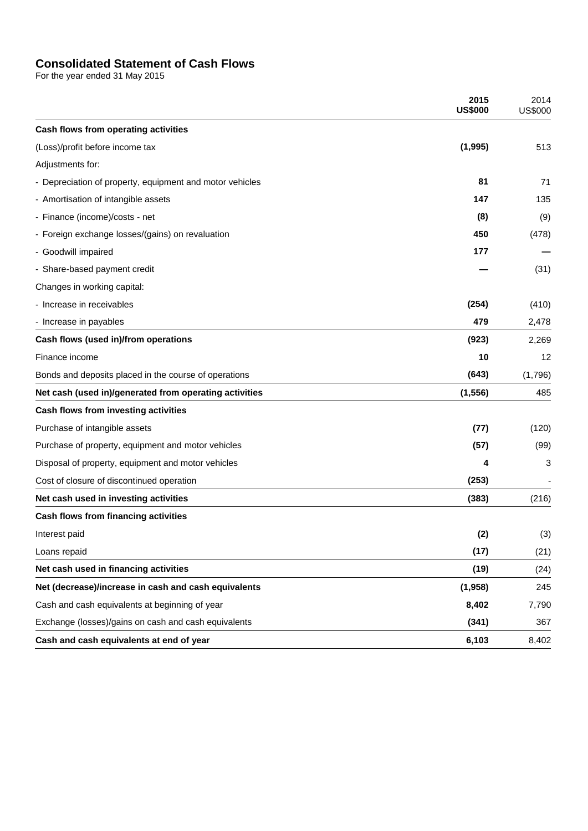# **Consolidated Statement of Cash Flows**

For the year ended 31 May 2015

|                                                          | 2015<br><b>US\$000</b> | 2014<br><b>US\$000</b> |
|----------------------------------------------------------|------------------------|------------------------|
| Cash flows from operating activities                     |                        |                        |
| (Loss)/profit before income tax                          | (1,995)                | 513                    |
| Adjustments for:                                         |                        |                        |
| - Depreciation of property, equipment and motor vehicles | 81                     | 71                     |
| - Amortisation of intangible assets                      | 147                    | 135                    |
| - Finance (income)/costs - net                           | (8)                    | (9)                    |
| - Foreign exchange losses/(gains) on revaluation         | 450                    | (478)                  |
| - Goodwill impaired                                      | 177                    |                        |
| - Share-based payment credit                             |                        | (31)                   |
| Changes in working capital:                              |                        |                        |
| - Increase in receivables                                | (254)                  | (410)                  |
| - Increase in payables                                   | 479                    | 2,478                  |
| Cash flows (used in)/from operations                     | (923)                  | 2,269                  |
| Finance income                                           | 10                     | 12                     |
| Bonds and deposits placed in the course of operations    | (643)                  | (1,796)                |
| Net cash (used in)/generated from operating activities   | (1, 556)               | 485                    |
| Cash flows from investing activities                     |                        |                        |
| Purchase of intangible assets                            | (77)                   | (120)                  |
| Purchase of property, equipment and motor vehicles       | (57)                   | (99)                   |
| Disposal of property, equipment and motor vehicles       | 4                      | 3                      |
| Cost of closure of discontinued operation                | (253)                  |                        |
| Net cash used in investing activities                    | (383)                  | (216)                  |
| Cash flows from financing activities                     |                        |                        |
| Interest paid                                            | (2)                    | (3)                    |
| Loans repaid                                             | (17)                   | (21)                   |
| Net cash used in financing activities                    | (19)                   | (24)                   |
| Net (decrease)/increase in cash and cash equivalents     | (1,958)                | 245                    |
| Cash and cash equivalents at beginning of year           | 8,402                  | 7,790                  |
| Exchange (losses)/gains on cash and cash equivalents     | (341)                  | 367                    |
| Cash and cash equivalents at end of year                 | 6,103                  | 8,402                  |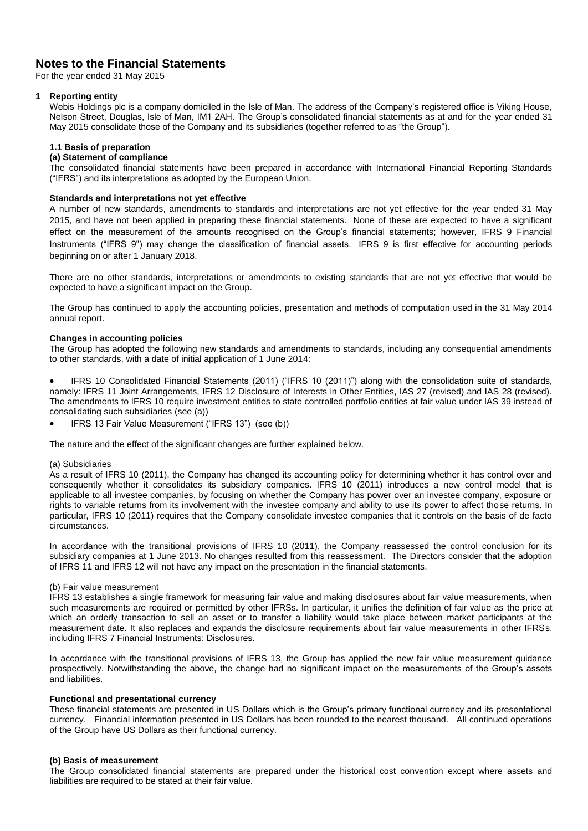## **Notes to the Financial Statements**

For the year ended 31 May 2015

## **1 Reporting entity**

Webis Holdings plc is a company domiciled in the Isle of Man. The address of the Company's registered office is Viking House, Nelson Street, Douglas, Isle of Man, IM1 2AH. The Group's consolidated financial statements as at and for the year ended 31 May 2015 consolidate those of the Company and its subsidiaries (together referred to as "the Group").

## **1.1 Basis of preparation**

## **(a) Statement of compliance**

The consolidated financial statements have been prepared in accordance with International Financial Reporting Standards ("IFRS") and its interpretations as adopted by the European Union.

## **Standards and interpretations not yet effective**

A number of new standards, amendments to standards and interpretations are not yet effective for the year ended 31 May 2015, and have not been applied in preparing these financial statements. None of these are expected to have a significant effect on the measurement of the amounts recognised on the Group's financial statements; however, IFRS 9 Financial Instruments ("IFRS 9") may change the classification of financial assets. IFRS 9 is first effective for accounting periods beginning on or after 1 January 2018.

There are no other standards, interpretations or amendments to existing standards that are not yet effective that would be expected to have a significant impact on the Group.

The Group has continued to apply the accounting policies, presentation and methods of computation used in the 31 May 2014 annual report.

## **Changes in accounting policies**

The Group has adopted the following new standards and amendments to standards, including any consequential amendments to other standards, with a date of initial application of 1 June 2014:

 IFRS 10 Consolidated Financial Statements (2011) ("IFRS 10 (2011)") along with the consolidation suite of standards, namely: IFRS 11 Joint Arrangements, IFRS 12 Disclosure of Interests in Other Entities, IAS 27 (revised) and IAS 28 (revised). The amendments to IFRS 10 require investment entities to state controlled portfolio entities at fair value under IAS 39 instead of consolidating such subsidiaries (see (a))

IFRS 13 Fair Value Measurement ("IFRS 13") (see (b))

The nature and the effect of the significant changes are further explained below.

## (a) Subsidiaries

As a result of IFRS 10 (2011), the Company has changed its accounting policy for determining whether it has control over and consequently whether it consolidates its subsidiary companies. IFRS 10 (2011) introduces a new control model that is applicable to all investee companies, by focusing on whether the Company has power over an investee company, exposure or rights to variable returns from its involvement with the investee company and ability to use its power to affect those returns. In particular, IFRS 10 (2011) requires that the Company consolidate investee companies that it controls on the basis of de facto circumstances.

In accordance with the transitional provisions of IFRS 10 (2011), the Company reassessed the control conclusion for its subsidiary companies at 1 June 2013. No changes resulted from this reassessment. The Directors consider that the adoption of IFRS 11 and IFRS 12 will not have any impact on the presentation in the financial statements.

## (b) Fair value measurement

IFRS 13 establishes a single framework for measuring fair value and making disclosures about fair value measurements, when such measurements are required or permitted by other IFRSs. In particular, it unifies the definition of fair value as the price at which an orderly transaction to sell an asset or to transfer a liability would take place between market participants at the measurement date. It also replaces and expands the disclosure requirements about fair value measurements in other IFRSs, including IFRS 7 Financial Instruments: Disclosures.

In accordance with the transitional provisions of IFRS 13, the Group has applied the new fair value measurement guidance prospectively. Notwithstanding the above, the change had no significant impact on the measurements of the Group's assets and liabilities.

## **Functional and presentational currency**

These financial statements are presented in US Dollars which is the Group's primary functional currency and its presentational currency. Financial information presented in US Dollars has been rounded to the nearest thousand. All continued operations of the Group have US Dollars as their functional currency.

### **(b) Basis of measurement**

The Group consolidated financial statements are prepared under the historical cost convention except where assets and liabilities are required to be stated at their fair value.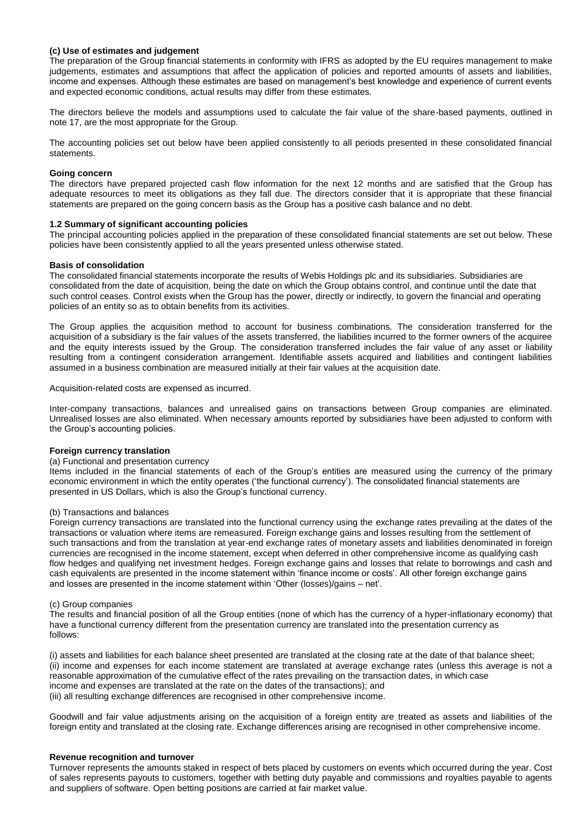## **(c) Use of estimates and judgement**

The preparation of the Group financial statements in conformity with IFRS as adopted by the EU requires management to make judgements, estimates and assumptions that affect the application of policies and reported amounts of assets and liabilities, income and expenses. Although these estimates are based on management's best knowledge and experience of current events and expected economic conditions, actual results may differ from these estimates.

The directors believe the models and assumptions used to calculate the fair value of the share-based payments, outlined in note 17, are the most appropriate for the Group.

The accounting policies set out below have been applied consistently to all periods presented in these consolidated financial statements.

### **Going concern**

The directors have prepared projected cash flow information for the next 12 months and are satisfied that the Group has adequate resources to meet its obligations as they fall due. The directors consider that it is appropriate that these financial statements are prepared on the going concern basis as the Group has a positive cash balance and no debt.

#### **1.2 Summary of significant accounting policies**

The principal accounting policies applied in the preparation of these consolidated financial statements are set out below. These policies have been consistently applied to all the years presented unless otherwise stated.

#### **Basis of consolidation**

The consolidated financial statements incorporate the results of Webis Holdings plc and its subsidiaries. Subsidiaries are consolidated from the date of acquisition, being the date on which the Group obtains control, and continue until the date that such control ceases. Control exists when the Group has the power, directly or indirectly, to govern the financial and operating policies of an entity so as to obtain benefits from its activities.

The Group applies the acquisition method to account for business combinations. The consideration transferred for the acquisition of a subsidiary is the fair values of the assets transferred, the liabilities incurred to the former owners of the acquiree and the equity interests issued by the Group. The consideration transferred includes the fair value of any asset or liability resulting from a contingent consideration arrangement. Identifiable assets acquired and liabilities and contingent liabilities assumed in a business combination are measured initially at their fair values at the acquisition date.

Acquisition-related costs are expensed as incurred.

Inter-company transactions, balances and unrealised gains on transactions between Group companies are eliminated. Unrealised losses are also eliminated. When necessary amounts reported by subsidiaries have been adjusted to conform with the Group's accounting policies.

## **Foreign currency translation**

#### (a) Functional and presentation currency

Items included in the financial statements of each of the Group's entities are measured using the currency of the primary economic environment in which the entity operates ('the functional currency'). The consolidated financial statements are presented in US Dollars, which is also the Group's functional currency.

## (b) Transactions and balances

Foreign currency transactions are translated into the functional currency using the exchange rates prevailing at the dates of the transactions or valuation where items are remeasured. Foreign exchange gains and losses resulting from the settlement of such transactions and from the translation at year-end exchange rates of monetary assets and liabilities denominated in foreign currencies are recognised in the income statement, except when deferred in other comprehensive income as qualifying cash flow hedges and qualifying net investment hedges. Foreign exchange gains and losses that relate to borrowings and cash and cash equivalents are presented in the income statement within 'finance income or costs'. All other foreign exchange gains and losses are presented in the income statement within 'Other (losses)/gains – net'.

## (c) Group companies

The results and financial position of all the Group entities (none of which has the currency of a hyper-inflationary economy) that have a functional currency different from the presentation currency are translated into the presentation currency as follows:

(i) assets and liabilities for each balance sheet presented are translated at the closing rate at the date of that balance sheet; (ii) income and expenses for each income statement are translated at average exchange rates (unless this average is not a reasonable approximation of the cumulative effect of the rates prevailing on the transaction dates, in which case income and expenses are translated at the rate on the dates of the transactions); and (iii) all resulting exchange differences are recognised in other comprehensive income.

Goodwill and fair value adjustments arising on the acquisition of a foreign entity are treated as assets and liabilities of the foreign entity and translated at the closing rate. Exchange differences arising are recognised in other comprehensive income.

#### **Revenue recognition and turnover**

Turnover represents the amounts staked in respect of bets placed by customers on events which occurred during the year. Cost of sales represents payouts to customers, together with betting duty payable and commissions and royalties payable to agents and suppliers of software. Open betting positions are carried at fair market value.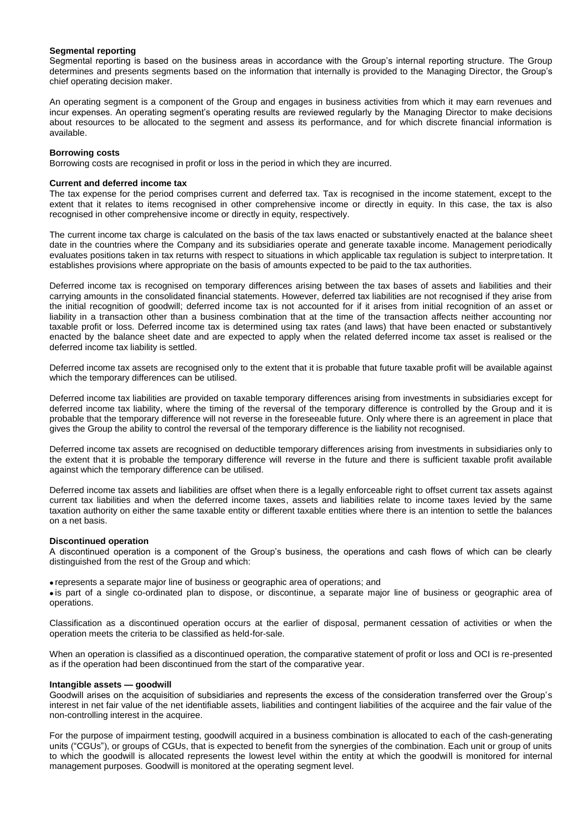## **Segmental reporting**

Segmental reporting is based on the business areas in accordance with the Group's internal reporting structure. The Group determines and presents segments based on the information that internally is provided to the Managing Director, the Group's chief operating decision maker.

An operating segment is a component of the Group and engages in business activities from which it may earn revenues and incur expenses. An operating segment's operating results are reviewed regularly by the Managing Director to make decisions about resources to be allocated to the segment and assess its performance, and for which discrete financial information is available.

#### **Borrowing costs**

Borrowing costs are recognised in profit or loss in the period in which they are incurred.

#### **Current and deferred income tax**

The tax expense for the period comprises current and deferred tax. Tax is recognised in the income statement, except to the extent that it relates to items recognised in other comprehensive income or directly in equity. In this case, the tax is also recognised in other comprehensive income or directly in equity, respectively.

The current income tax charge is calculated on the basis of the tax laws enacted or substantively enacted at the balance sheet date in the countries where the Company and its subsidiaries operate and generate taxable income. Management periodically evaluates positions taken in tax returns with respect to situations in which applicable tax regulation is subject to interpretation. It establishes provisions where appropriate on the basis of amounts expected to be paid to the tax authorities.

Deferred income tax is recognised on temporary differences arising between the tax bases of assets and liabilities and their carrying amounts in the consolidated financial statements. However, deferred tax liabilities are not recognised if they arise from the initial recognition of goodwill; deferred income tax is not accounted for if it arises from initial recognition of an asset or liability in a transaction other than a business combination that at the time of the transaction affects neither accounting nor taxable profit or loss. Deferred income tax is determined using tax rates (and laws) that have been enacted or substantively enacted by the balance sheet date and are expected to apply when the related deferred income tax asset is realised or the deferred income tax liability is settled.

Deferred income tax assets are recognised only to the extent that it is probable that future taxable profit will be available against which the temporary differences can be utilised.

Deferred income tax liabilities are provided on taxable temporary differences arising from investments in subsidiaries except for deferred income tax liability, where the timing of the reversal of the temporary difference is controlled by the Group and it is probable that the temporary difference will not reverse in the foreseeable future. Only where there is an agreement in place that gives the Group the ability to control the reversal of the temporary difference is the liability not recognised.

Deferred income tax assets are recognised on deductible temporary differences arising from investments in subsidiaries only to the extent that it is probable the temporary difference will reverse in the future and there is sufficient taxable profit available against which the temporary difference can be utilised.

Deferred income tax assets and liabilities are offset when there is a legally enforceable right to offset current tax assets against current tax liabilities and when the deferred income taxes, assets and liabilities relate to income taxes levied by the same taxation authority on either the same taxable entity or different taxable entities where there is an intention to settle the balances on a net basis.

#### **Discontinued operation**

A discontinued operation is a component of the Group's business, the operations and cash flows of which can be clearly distinguished from the rest of the Group and which:

represents a separate major line of business or geographic area of operations; and

 is part of a single co-ordinated plan to dispose, or discontinue, a separate major line of business or geographic area of operations.

Classification as a discontinued operation occurs at the earlier of disposal, permanent cessation of activities or when the operation meets the criteria to be classified as held-for-sale.

When an operation is classified as a discontinued operation, the comparative statement of profit or loss and OCI is re-presented as if the operation had been discontinued from the start of the comparative year.

#### **Intangible assets — goodwill**

Goodwill arises on the acquisition of subsidiaries and represents the excess of the consideration transferred over the Group's interest in net fair value of the net identifiable assets, liabilities and contingent liabilities of the acquiree and the fair value of the non-controlling interest in the acquiree.

For the purpose of impairment testing, goodwill acquired in a business combination is allocated to each of the cash-generating units ("CGUs"), or groups of CGUs, that is expected to benefit from the synergies of the combination. Each unit or group of units to which the goodwill is allocated represents the lowest level within the entity at which the goodwill is monitored for internal management purposes. Goodwill is monitored at the operating segment level.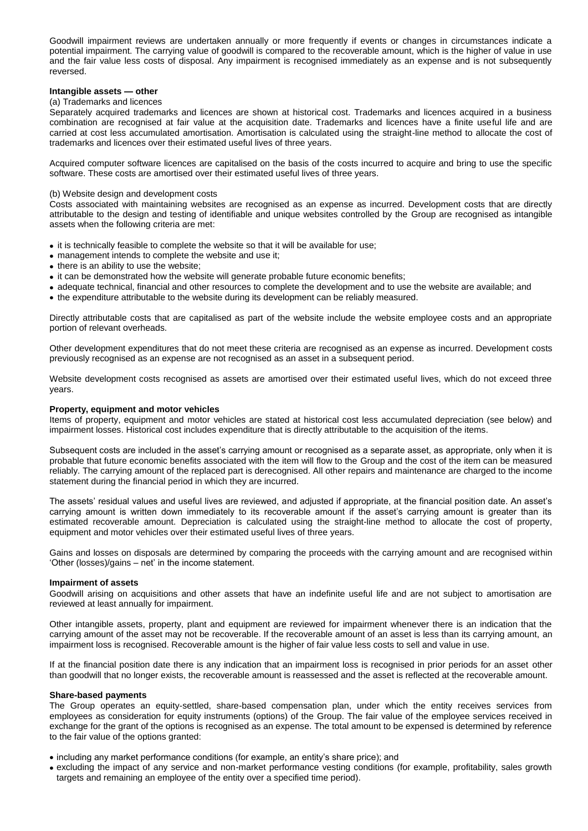Goodwill impairment reviews are undertaken annually or more frequently if events or changes in circumstances indicate a potential impairment. The carrying value of goodwill is compared to the recoverable amount, which is the higher of value in use and the fair value less costs of disposal. Any impairment is recognised immediately as an expense and is not subsequently reversed.

## **Intangible assets — other**

## (a) Trademarks and licences

Separately acquired trademarks and licences are shown at historical cost. Trademarks and licences acquired in a business combination are recognised at fair value at the acquisition date. Trademarks and licences have a finite useful life and are carried at cost less accumulated amortisation. Amortisation is calculated using the straight-line method to allocate the cost of trademarks and licences over their estimated useful lives of three years.

Acquired computer software licences are capitalised on the basis of the costs incurred to acquire and bring to use the specific software. These costs are amortised over their estimated useful lives of three years.

#### (b) Website design and development costs

Costs associated with maintaining websites are recognised as an expense as incurred. Development costs that are directly attributable to the design and testing of identifiable and unique websites controlled by the Group are recognised as intangible assets when the following criteria are met:

- it is technically feasible to complete the website so that it will be available for use;
- management intends to complete the website and use it;
- $\bullet$  there is an ability to use the website:
- it can be demonstrated how the website will generate probable future economic benefits;
- adequate technical, financial and other resources to complete the development and to use the website are available; and
- the expenditure attributable to the website during its development can be reliably measured.

Directly attributable costs that are capitalised as part of the website include the website employee costs and an appropriate portion of relevant overheads.

Other development expenditures that do not meet these criteria are recognised as an expense as incurred. Development costs previously recognised as an expense are not recognised as an asset in a subsequent period.

Website development costs recognised as assets are amortised over their estimated useful lives, which do not exceed three years.

#### **Property, equipment and motor vehicles**

Items of property, equipment and motor vehicles are stated at historical cost less accumulated depreciation (see below) and impairment losses. Historical cost includes expenditure that is directly attributable to the acquisition of the items.

Subsequent costs are included in the asset's carrying amount or recognised as a separate asset, as appropriate, only when it is probable that future economic benefits associated with the item will flow to the Group and the cost of the item can be measured reliably. The carrying amount of the replaced part is derecognised. All other repairs and maintenance are charged to the income statement during the financial period in which they are incurred.

The assets' residual values and useful lives are reviewed, and adjusted if appropriate, at the financial position date. An asset's carrying amount is written down immediately to its recoverable amount if the asset's carrying amount is greater than its estimated recoverable amount. Depreciation is calculated using the straight-line method to allocate the cost of property, equipment and motor vehicles over their estimated useful lives of three years.

Gains and losses on disposals are determined by comparing the proceeds with the carrying amount and are recognised within 'Other (losses)/gains – net' in the income statement.

#### **Impairment of assets**

Goodwill arising on acquisitions and other assets that have an indefinite useful life and are not subject to amortisation are reviewed at least annually for impairment.

Other intangible assets, property, plant and equipment are reviewed for impairment whenever there is an indication that the carrying amount of the asset may not be recoverable. If the recoverable amount of an asset is less than its carrying amount, an impairment loss is recognised. Recoverable amount is the higher of fair value less costs to sell and value in use.

If at the financial position date there is any indication that an impairment loss is recognised in prior periods for an asset other than goodwill that no longer exists, the recoverable amount is reassessed and the asset is reflected at the recoverable amount.

### **Share-based payments**

The Group operates an equity-settled, share-based compensation plan, under which the entity receives services from employees as consideration for equity instruments (options) of the Group. The fair value of the employee services received in exchange for the grant of the options is recognised as an expense. The total amount to be expensed is determined by reference to the fair value of the options granted:

- including any market performance conditions (for example, an entity's share price); and
- excluding the impact of any service and non-market performance vesting conditions (for example, profitability, sales growth targets and remaining an employee of the entity over a specified time period).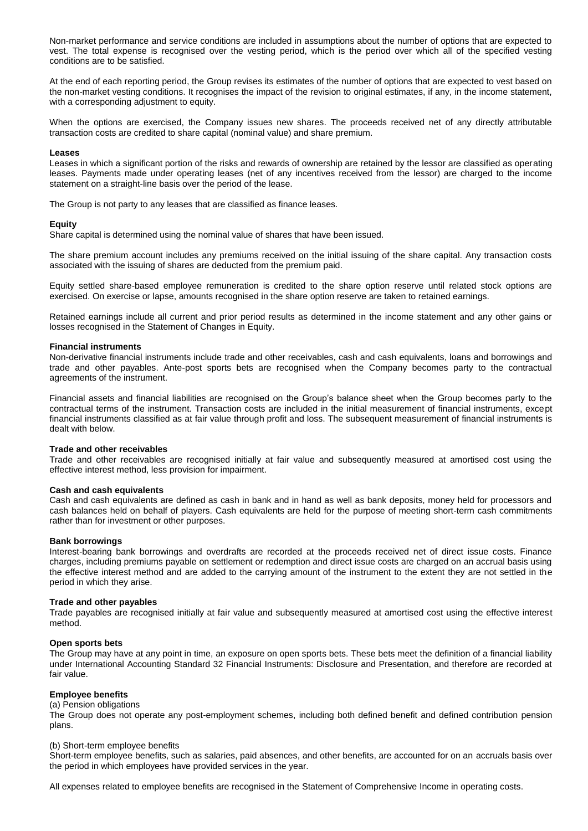Non-market performance and service conditions are included in assumptions about the number of options that are expected to vest. The total expense is recognised over the vesting period, which is the period over which all of the specified vesting conditions are to be satisfied.

At the end of each reporting period, the Group revises its estimates of the number of options that are expected to vest based on the non-market vesting conditions. It recognises the impact of the revision to original estimates, if any, in the income statement, with a corresponding adjustment to equity.

When the options are exercised, the Company issues new shares. The proceeds received net of any directly attributable transaction costs are credited to share capital (nominal value) and share premium.

#### **Leases**

Leases in which a significant portion of the risks and rewards of ownership are retained by the lessor are classified as operating leases. Payments made under operating leases (net of any incentives received from the lessor) are charged to the income statement on a straight-line basis over the period of the lease.

The Group is not party to any leases that are classified as finance leases.

#### **Equity**

Share capital is determined using the nominal value of shares that have been issued.

The share premium account includes any premiums received on the initial issuing of the share capital. Any transaction costs associated with the issuing of shares are deducted from the premium paid.

Equity settled share-based employee remuneration is credited to the share option reserve until related stock options are exercised. On exercise or lapse, amounts recognised in the share option reserve are taken to retained earnings.

Retained earnings include all current and prior period results as determined in the income statement and any other gains or losses recognised in the Statement of Changes in Equity.

#### **Financial instruments**

Non-derivative financial instruments include trade and other receivables, cash and cash equivalents, loans and borrowings and trade and other payables. Ante-post sports bets are recognised when the Company becomes party to the contractual agreements of the instrument.

Financial assets and financial liabilities are recognised on the Group's balance sheet when the Group becomes party to the contractual terms of the instrument. Transaction costs are included in the initial measurement of financial instruments, except financial instruments classified as at fair value through profit and loss. The subsequent measurement of financial instruments is dealt with below.

#### **Trade and other receivables**

Trade and other receivables are recognised initially at fair value and subsequently measured at amortised cost using the effective interest method, less provision for impairment.

#### **Cash and cash equivalents**

Cash and cash equivalents are defined as cash in bank and in hand as well as bank deposits, money held for processors and cash balances held on behalf of players. Cash equivalents are held for the purpose of meeting short-term cash commitments rather than for investment or other purposes.

#### **Bank borrowings**

Interest-bearing bank borrowings and overdrafts are recorded at the proceeds received net of direct issue costs. Finance charges, including premiums payable on settlement or redemption and direct issue costs are charged on an accrual basis using the effective interest method and are added to the carrying amount of the instrument to the extent they are not settled in the period in which they arise.

#### **Trade and other payables**

Trade payables are recognised initially at fair value and subsequently measured at amortised cost using the effective interest method.

#### **Open sports bets**

The Group may have at any point in time, an exposure on open sports bets. These bets meet the definition of a financial liability under International Accounting Standard 32 Financial Instruments: Disclosure and Presentation, and therefore are recorded at fair value.

## **Employee benefits**

## (a) Pension obligations

The Group does not operate any post-employment schemes, including both defined benefit and defined contribution pension plans.

#### (b) Short-term employee benefits

Short-term employee benefits, such as salaries, paid absences, and other benefits, are accounted for on an accruals basis over the period in which employees have provided services in the year.

All expenses related to employee benefits are recognised in the Statement of Comprehensive Income in operating costs.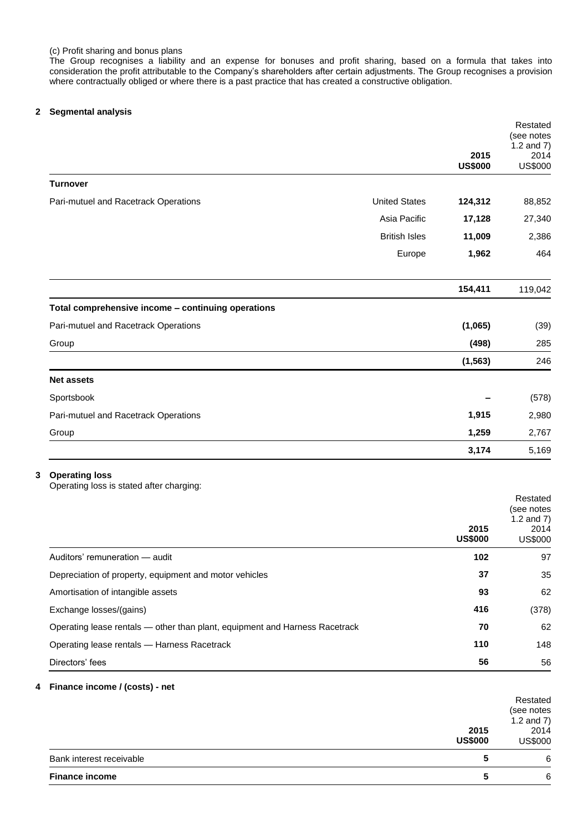The Group recognises a liability and an expense for bonuses and profit sharing, based on a formula that takes into consideration the profit attributable to the Company's shareholders after certain adjustments. The Group recognises a provision where contractually obliged or where there is a past practice that has created a constructive obligation.

## **2 Segmental analysis**

|                                                                   |                      | 2015<br><b>US\$000</b> | Restated<br>(see notes<br>1.2 and $7)$<br>2014<br><b>US\$000</b> |
|-------------------------------------------------------------------|----------------------|------------------------|------------------------------------------------------------------|
| <b>Turnover</b>                                                   |                      |                        |                                                                  |
| Pari-mutuel and Racetrack Operations                              | <b>United States</b> | 124,312                | 88,852                                                           |
|                                                                   | Asia Pacific         | 17,128                 | 27,340                                                           |
|                                                                   | <b>British Isles</b> | 11,009                 | 2,386                                                            |
|                                                                   | Europe               | 1,962                  | 464                                                              |
|                                                                   |                      | 154,411                | 119,042                                                          |
| Total comprehensive income - continuing operations                |                      |                        |                                                                  |
| Pari-mutuel and Racetrack Operations                              |                      | (1,065)                | (39)                                                             |
| Group                                                             |                      | (498)                  | 285                                                              |
|                                                                   |                      | (1, 563)               | 246                                                              |
| <b>Net assets</b>                                                 |                      |                        |                                                                  |
| Sportsbook                                                        |                      |                        | (578)                                                            |
| Pari-mutuel and Racetrack Operations                              |                      | 1,915                  | 2,980                                                            |
| Group                                                             |                      | 1,259                  | 2,767                                                            |
|                                                                   |                      | 3,174                  | 5,169                                                            |
| <b>Operating loss</b><br>Operating loss is stated after charging: |                      |                        |                                                                  |
|                                                                   |                      | 2015<br><b>US\$000</b> | Restated<br>(see notes<br>1.2 and $7)$<br>2014<br>US\$000        |
| Auditors' remuneration - audit                                    |                      | 102                    | 97                                                               |

| Auditors' remuneration – audit                                              | 102 | 97    |
|-----------------------------------------------------------------------------|-----|-------|
| Depreciation of property, equipment and motor vehicles                      | 37  | 35    |
| Amortisation of intangible assets                                           | 93  | 62    |
| Exchange losses/(gains)                                                     | 416 | (378) |
| Operating lease rentals - other than plant, equipment and Harness Racetrack | 70  | 62    |
| Operating lease rentals - Harness Racetrack                                 | 110 | 148   |
| Directors' fees                                                             | 56  | 56    |

## **4 Finance income / (costs) - net**

| 2015<br><b>US\$000</b>   | Restated<br>(see notes<br>1.2 and $7)$<br>2014<br>US\$000 |
|--------------------------|-----------------------------------------------------------|
| Bank interest receivable | 6                                                         |
| <b>Finance income</b>    | 6                                                         |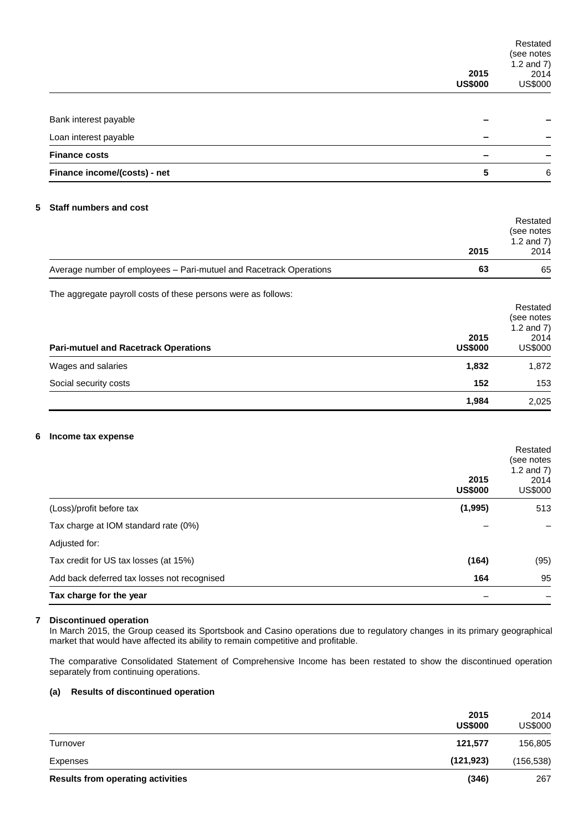|                                             |                                                                    | 2015<br><b>US\$000</b> | Restated<br>(see notes<br>1.2 and $7)$<br>2014<br><b>US\$000</b> |
|---------------------------------------------|--------------------------------------------------------------------|------------------------|------------------------------------------------------------------|
| Bank interest payable                       |                                                                    |                        |                                                                  |
| Loan interest payable                       |                                                                    |                        |                                                                  |
| <b>Finance costs</b>                        |                                                                    |                        |                                                                  |
| Finance income/(costs) - net                |                                                                    | 5                      | 6                                                                |
| <b>Staff numbers and cost</b><br>5          |                                                                    |                        | Restated<br>(see notes                                           |
|                                             |                                                                    | 2015                   | 1.2 and $7)$<br>2014                                             |
|                                             | Average number of employees - Pari-mutuel and Racetrack Operations | 63                     | 65                                                               |
| <b>Pari-mutuel and Racetrack Operations</b> | The aggregate payroll costs of these persons were as follows:      | 2015<br><b>US\$000</b> | Restated<br>(see notes<br>1.2 and $7)$<br>2014<br><b>US\$000</b> |
| Wages and salaries                          |                                                                    | 1,832                  | 1,872                                                            |
| Social security costs                       |                                                                    | 152                    | 153                                                              |
|                                             |                                                                    | 1,984                  | 2,025                                                            |
| 6<br>Income tax expense                     |                                                                    | 2015<br><b>US\$000</b> | Restated<br>(see notes<br>1.2 and $7)$<br>2014<br><b>US\$000</b> |
| (Loss)/profit before tax                    |                                                                    | (1, 995)               | 513                                                              |
| Tax charge at IOM standard rate (0%)        |                                                                    |                        |                                                                  |
| Adjusted for:                               |                                                                    |                        |                                                                  |
| Tax credit for US tax losses (at 15%)       |                                                                    | (164)                  | (95)                                                             |
|                                             | Add back deferred tax losses not recognised                        | 164                    | 95                                                               |
| Tax charge for the year                     |                                                                    |                        |                                                                  |

## **7 Discontinued operation**

In March 2015, the Group ceased its Sportsbook and Casino operations due to regulatory changes in its primary geographical market that would have affected its ability to remain competitive and profitable.

The comparative Consolidated Statement of Comprehensive Income has been restated to show the discontinued operation separately from continuing operations.

## **(a) Results of discontinued operation**

|                                          | 2015<br><b>US\$000</b> | 2014<br>US\$000 |
|------------------------------------------|------------------------|-----------------|
| Turnover                                 | 121.577                | 156,805         |
| Expenses                                 | (121, 923)             | (156, 538)      |
| <b>Results from operating activities</b> | (346)                  | 267             |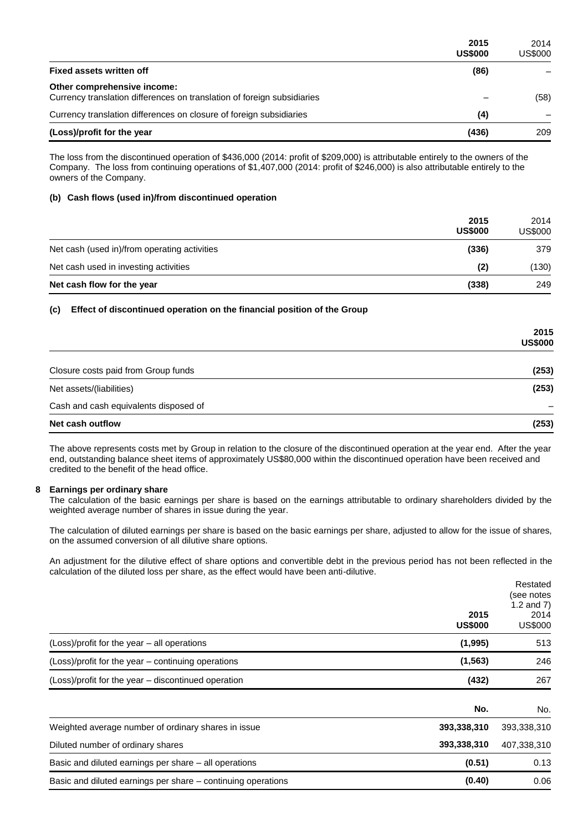|                                                                                                        | 2015<br><b>US\$000</b> | 2014<br><b>US\$000</b> |
|--------------------------------------------------------------------------------------------------------|------------------------|------------------------|
| <b>Fixed assets written off</b>                                                                        | (86)                   |                        |
| Other comprehensive income:<br>Currency translation differences on translation of foreign subsidiaries |                        | (58)                   |
| Currency translation differences on closure of foreign subsidiaries                                    | (4)                    |                        |
| (Loss)/profit for the year                                                                             | (436)                  | 209                    |

The loss from the discontinued operation of \$436,000 (2014: profit of \$209,000) is attributable entirely to the owners of the Company. The loss from continuing operations of \$1,407,000 (2014: profit of \$246,000) is also attributable entirely to the owners of the Company.

## **(b) Cash flows (used in)/from discontinued operation**

|                                              | 2015<br><b>US\$000</b> | 2014<br><b>US\$000</b> |
|----------------------------------------------|------------------------|------------------------|
| Net cash (used in)/from operating activities | (336)                  | 379                    |
| Net cash used in investing activities        | (2)                    | (130)                  |
| Net cash flow for the year                   | (338)                  | 249                    |

## **(c) Effect of discontinued operation on the financial position of the Group**

|                                       | 2015<br><b>US\$000</b> |
|---------------------------------------|------------------------|
| Closure costs paid from Group funds   | (253)                  |
| Net assets/(liabilities)              | (253)                  |
| Cash and cash equivalents disposed of |                        |
| Net cash outflow                      | (253)                  |

The above represents costs met by Group in relation to the closure of the discontinued operation at the year end. After the year end, outstanding balance sheet items of approximately US\$80,000 within the discontinued operation have been received and credited to the benefit of the head office.

## **8 Earnings per ordinary share**

The calculation of the basic earnings per share is based on the earnings attributable to ordinary shareholders divided by the weighted average number of shares in issue during the year.

The calculation of diluted earnings per share is based on the basic earnings per share, adjusted to allow for the issue of shares, on the assumed conversion of all dilutive share options.

An adjustment for the dilutive effect of share options and convertible debt in the previous period has not been reflected in the calculation of the diluted loss per share, as the effect would have been anti-dilutive.

|                                                              | 2015<br><b>US\$000</b> | Restated<br>(see notes<br>1.2 and $7)$<br>2014<br>US\$000 |
|--------------------------------------------------------------|------------------------|-----------------------------------------------------------|
| (Loss)/profit for the year – all operations                  | (1,995)                | 513                                                       |
| (Loss)/profit for the year – continuing operations           | (1, 563)               | 246                                                       |
| (Loss)/profit for the year – discontinued operation          | (432)                  | 267                                                       |
|                                                              | No.                    | No.                                                       |
| Weighted average number of ordinary shares in issue          | 393,338,310            | 393,338,310                                               |
| Diluted number of ordinary shares                            | 393,338,310            | 407,338,310                                               |
| Basic and diluted earnings per share – all operations        | (0.51)                 | 0.13                                                      |
| Basic and diluted earnings per share – continuing operations | (0.40)                 | 0.06                                                      |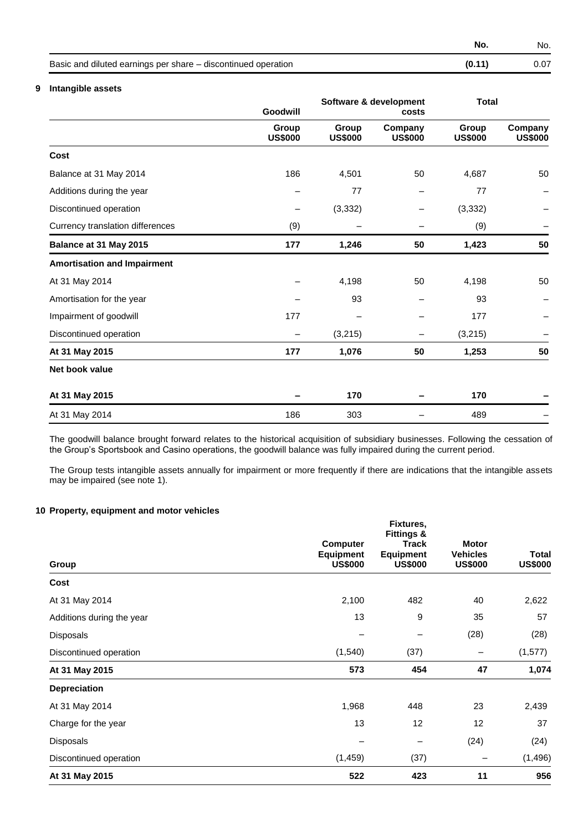**No.** No.

| Basic and diluted earnings per share – discontinued operation | (0.11) | 0.07 |
|---------------------------------------------------------------|--------|------|
|                                                               |        |      |

## **9 Intangible assets**

|                                    | Goodwill                |                         | Software & development             | <b>Total</b>            |                           |
|------------------------------------|-------------------------|-------------------------|------------------------------------|-------------------------|---------------------------|
|                                    | Group<br><b>US\$000</b> | Group<br><b>US\$000</b> | costs<br>Company<br><b>US\$000</b> | Group<br><b>US\$000</b> | Company<br><b>US\$000</b> |
| Cost                               |                         |                         |                                    |                         |                           |
| Balance at 31 May 2014             | 186                     | 4,501                   | 50                                 | 4,687                   | 50                        |
| Additions during the year          |                         | 77                      |                                    | 77                      |                           |
| Discontinued operation             | -                       | (3, 332)                |                                    | (3, 332)                |                           |
| Currency translation differences   | (9)                     |                         |                                    | (9)                     |                           |
| Balance at 31 May 2015             | 177                     | 1,246                   | 50                                 | 1,423                   | 50                        |
| <b>Amortisation and Impairment</b> |                         |                         |                                    |                         |                           |
| At 31 May 2014                     |                         | 4,198                   | 50                                 | 4,198                   | 50                        |
| Amortisation for the year          |                         | 93                      |                                    | 93                      |                           |
| Impairment of goodwill             | 177                     |                         |                                    | 177                     |                           |
| Discontinued operation             |                         | (3, 215)                |                                    | (3,215)                 |                           |
| At 31 May 2015                     | 177                     | 1,076                   | 50                                 | 1,253                   | 50                        |
| Net book value                     |                         |                         |                                    |                         |                           |
| At 31 May 2015                     |                         | 170                     |                                    | 170                     |                           |
| At 31 May 2014                     | 186                     | 303                     |                                    | 489                     |                           |

The goodwill balance brought forward relates to the historical acquisition of subsidiary businesses. Following the cessation of the Group's Sportsbook and Casino operations, the goodwill balance was fully impaired during the current period.

The Group tests intangible assets annually for impairment or more frequently if there are indications that the intangible assets may be impaired (see note 1).

## **10 Property, equipment and motor vehicles**

| Group                     | <b>Computer</b><br><b>Equipment</b><br><b>US\$000</b> | Fixtures,<br><b>Fittings &amp;</b><br><b>Track</b><br><b>Equipment</b><br><b>US\$000</b> | <b>Motor</b><br><b>Vehicles</b><br><b>US\$000</b> | <b>Total</b><br><b>US\$000</b> |
|---------------------------|-------------------------------------------------------|------------------------------------------------------------------------------------------|---------------------------------------------------|--------------------------------|
| Cost                      |                                                       |                                                                                          |                                                   |                                |
| At 31 May 2014            | 2,100                                                 | 482                                                                                      | 40                                                | 2,622                          |
| Additions during the year | 13                                                    | 9                                                                                        | 35                                                | 57                             |
| Disposals                 |                                                       | $\qquad \qquad$                                                                          | (28)                                              | (28)                           |
| Discontinued operation    | (1, 540)                                              | (37)                                                                                     | $\qquad \qquad -$                                 | (1, 577)                       |
| At 31 May 2015            | 573                                                   | 454                                                                                      | 47                                                | 1,074                          |
| <b>Depreciation</b>       |                                                       |                                                                                          |                                                   |                                |
| At 31 May 2014            | 1,968                                                 | 448                                                                                      | 23                                                | 2,439                          |
| Charge for the year       | 13                                                    | 12                                                                                       | 12                                                | 37                             |
| Disposals                 |                                                       | $\qquad \qquad$                                                                          | (24)                                              | (24)                           |
| Discontinued operation    | (1, 459)                                              | (37)                                                                                     |                                                   | (1, 496)                       |
| At 31 May 2015            | 522                                                   | 423                                                                                      | 11                                                | 956                            |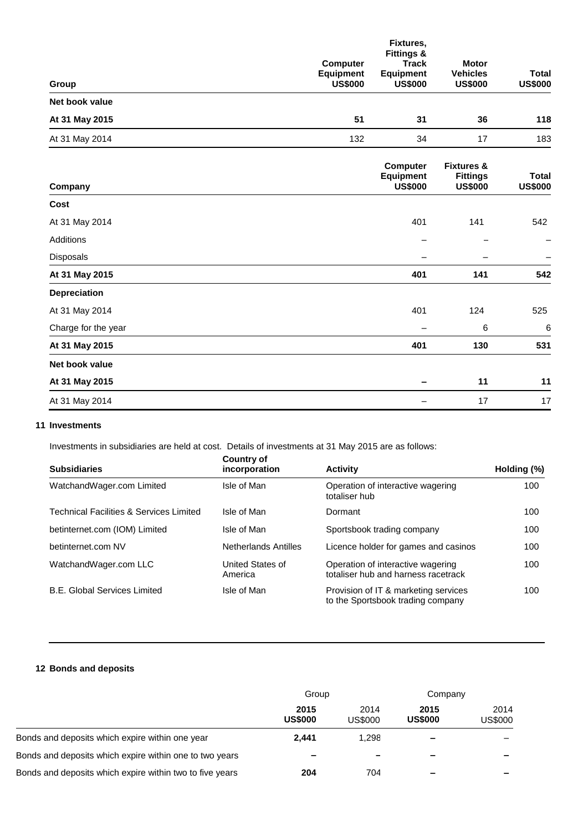| Group               | <b>Computer</b><br><b>Equipment</b><br><b>US\$000</b> | Fixtures,<br><b>Fittings &amp;</b><br><b>Track</b><br><b>Equipment</b><br><b>US\$000</b> | <b>Motor</b><br><b>Vehicles</b><br><b>US\$000</b>          | <b>Total</b><br><b>US\$000</b> |
|---------------------|-------------------------------------------------------|------------------------------------------------------------------------------------------|------------------------------------------------------------|--------------------------------|
| Net book value      |                                                       |                                                                                          |                                                            |                                |
| At 31 May 2015      | 51                                                    | 31                                                                                       | 36                                                         | 118                            |
| At 31 May 2014      | 132                                                   | 34                                                                                       | 17                                                         | 183                            |
| Company             |                                                       | <b>Computer</b><br><b>Equipment</b><br><b>US\$000</b>                                    | <b>Fixtures &amp;</b><br><b>Fittings</b><br><b>US\$000</b> | <b>Total</b><br><b>US\$000</b> |
| Cost                |                                                       |                                                                                          |                                                            |                                |
| At 31 May 2014      |                                                       | 401                                                                                      | 141                                                        | 542                            |
| Additions           |                                                       |                                                                                          |                                                            |                                |
| Disposals           |                                                       |                                                                                          |                                                            |                                |
| At 31 May 2015      |                                                       | 401                                                                                      | 141                                                        | 542                            |
| Depreciation        |                                                       |                                                                                          |                                                            |                                |
| At 31 May 2014      |                                                       | 401                                                                                      | 124                                                        | 525                            |
| Charge for the year |                                                       |                                                                                          | 6                                                          | $6\phantom{1}6$                |
| At 31 May 2015      |                                                       | 401                                                                                      | 130                                                        | 531                            |
| Net book value      |                                                       |                                                                                          |                                                            |                                |
| At 31 May 2015      |                                                       |                                                                                          | 11                                                         | 11                             |
| At 31 May 2014      |                                                       |                                                                                          | 17                                                         | 17                             |

## **11 Investments**

Investments in subsidiaries are held at cost. Details of investments at 31 May 2015 are as follows:

| <b>Subsidiaries</b>                                | Country of<br>incorporation | <b>Activity</b>                                                           | Holding (%) |
|----------------------------------------------------|-----------------------------|---------------------------------------------------------------------------|-------------|
| WatchandWager.com Limited                          | Isle of Man                 | Operation of interactive wagering<br>totaliser hub                        | 100         |
| <b>Technical Facilities &amp; Services Limited</b> | Isle of Man                 | Dormant                                                                   | 100         |
| betinternet.com (IOM) Limited                      | Isle of Man                 | Sportsbook trading company                                                | 100         |
| betinternet.com NV                                 | <b>Netherlands Antilles</b> | Licence holder for games and casinos                                      | 100         |
| WatchandWager.com LLC                              | United States of<br>America | Operation of interactive wagering<br>totaliser hub and harness racetrack  | 100         |
| <b>B.E. Global Services Limited</b>                | Isle of Man                 | Provision of IT & marketing services<br>to the Sportsbook trading company | 100         |

## **12 Bonds and deposits**

|                                                          | Group                  |                 | Company                  |                 |
|----------------------------------------------------------|------------------------|-----------------|--------------------------|-----------------|
|                                                          | 2015<br><b>US\$000</b> | 2014<br>US\$000 | 2015<br><b>US\$000</b>   | 2014<br>US\$000 |
| Bonds and deposits which expire within one year          | 2.441                  | 1.298           | $\overline{\phantom{0}}$ |                 |
| Bonds and deposits which expire within one to two years  |                        | $\qquad \qquad$ | $\overline{\phantom{0}}$ |                 |
| Bonds and deposits which expire within two to five years | 204                    | 704             | $\overline{\phantom{0}}$ | -               |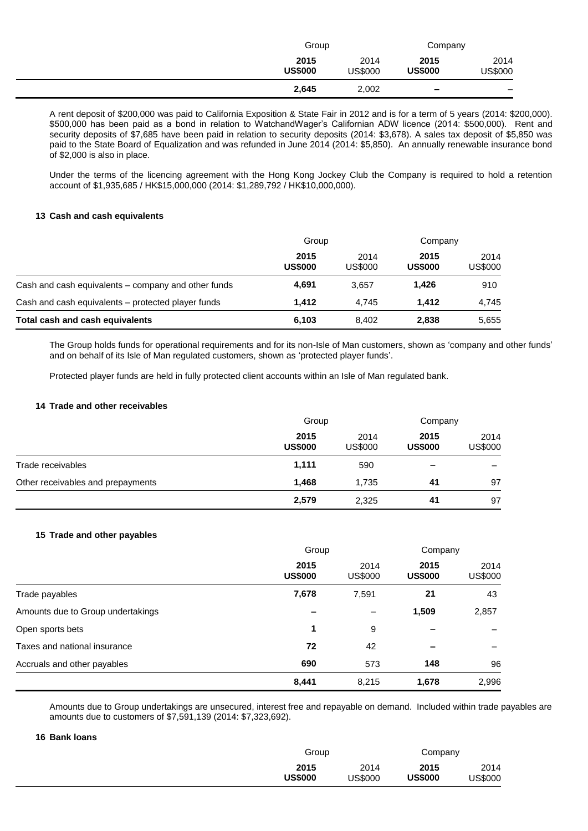| Group                  |                 | Company                |                          |
|------------------------|-----------------|------------------------|--------------------------|
| 2015<br><b>US\$000</b> | 2014<br>US\$000 | 2015<br><b>US\$000</b> | 2014<br>US\$000          |
| 2,645                  | 2,002           | $\,$                   | $\overline{\phantom{0}}$ |

A rent deposit of \$200,000 was paid to California Exposition & State Fair in 2012 and is for a term of 5 years (2014: \$200,000). \$500,000 has been paid as a bond in relation to WatchandWager's Californian ADW licence (2014: \$500,000). Rent and security deposits of \$7,685 have been paid in relation to security deposits (2014: \$3,678). A sales tax deposit of \$5,850 was paid to the State Board of Equalization and was refunded in June 2014 (2014: \$5,850). An annually renewable insurance bond of \$2,000 is also in place.

Under the terms of the licencing agreement with the Hong Kong Jockey Club the Company is required to hold a retention account of \$1,935,685 / HK\$15,000,000 (2014: \$1,289,792 / HK\$10,000,000).

## **13 Cash and cash equivalents**

|                                                     | Group                  |                 | Company                |                 |
|-----------------------------------------------------|------------------------|-----------------|------------------------|-----------------|
|                                                     | 2015<br><b>US\$000</b> | 2014<br>US\$000 | 2015<br><b>US\$000</b> | 2014<br>US\$000 |
| Cash and cash equivalents – company and other funds | 4.691                  | 3.657           | 1.426                  | 910             |
| Cash and cash equivalents – protected player funds  | 1.412                  | 4.745           | 1.412                  | 4.745           |
| Total cash and cash equivalents                     | 6,103                  | 8.402           | 2,838                  | 5,655           |

The Group holds funds for operational requirements and for its non-Isle of Man customers, shown as 'company and other funds' and on behalf of its Isle of Man regulated customers, shown as 'protected player funds'.

Protected player funds are held in fully protected client accounts within an Isle of Man regulated bank.

## **14 Trade and other receivables**

|                                   | Group                  |                        | Company                  |                 |
|-----------------------------------|------------------------|------------------------|--------------------------|-----------------|
|                                   | 2015<br><b>US\$000</b> | 2014<br><b>US\$000</b> | 2015<br><b>US\$000</b>   | 2014<br>US\$000 |
| Trade receivables                 | 1,111                  | 590                    | $\overline{\phantom{0}}$ |                 |
| Other receivables and prepayments | 1.468                  | 1.735                  | 41                       | 97              |
|                                   | 2,579                  | 2,325                  | 41                       | 97              |

## **15 Trade and other payables**

|                                   | Group                  |                 | Company                |                        |
|-----------------------------------|------------------------|-----------------|------------------------|------------------------|
|                                   | 2015<br><b>US\$000</b> | 2014<br>US\$000 | 2015<br><b>US\$000</b> | 2014<br><b>US\$000</b> |
| Trade payables                    | 7,678                  | 7,591           | 21                     | 43                     |
| Amounts due to Group undertakings |                        |                 | 1,509                  | 2,857                  |
| Open sports bets                  | 1                      | 9               |                        |                        |
| Taxes and national insurance      | 72                     | 42              |                        |                        |
| Accruals and other payables       | 690                    | 573             | 148                    | 96                     |
|                                   | 8,441                  | 8.215           | 1,678                  | 2,996                  |

Amounts due to Group undertakings are unsecured, interest free and repayable on demand. Included within trade payables are amounts due to customers of \$7,591,139 (2014: \$7,323,692).

## **16 Bank loans**

| Group          |         |                | Company |
|----------------|---------|----------------|---------|
| 2015           | 2014    | 2015           | 2014    |
| <b>US\$000</b> | US\$000 | <b>US\$000</b> | US\$000 |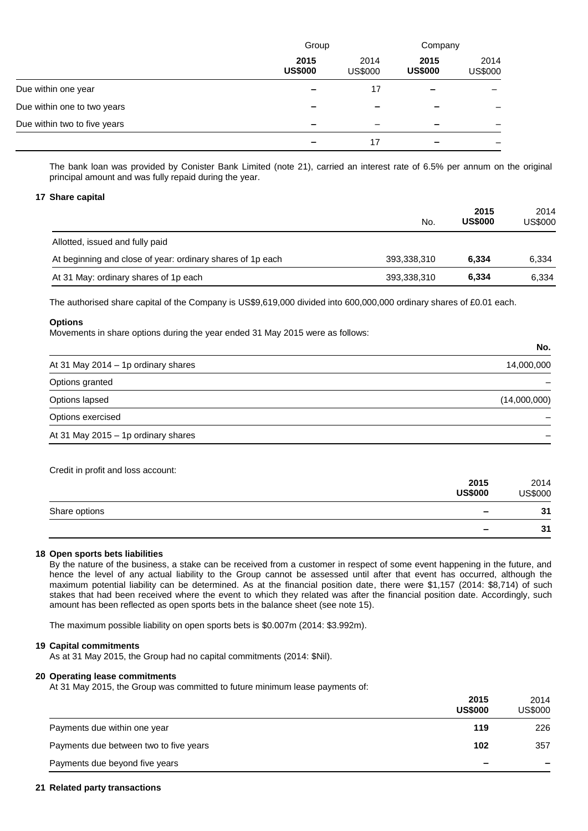|                              | Group                    |                        | Company                |                 |
|------------------------------|--------------------------|------------------------|------------------------|-----------------|
|                              | 2015<br><b>US\$000</b>   | 2014<br><b>US\$000</b> | 2015<br><b>US\$000</b> | 2014<br>US\$000 |
| Due within one year          |                          | 17                     |                        |                 |
| Due within one to two years  | -                        |                        |                        |                 |
| Due within two to five years | $\overline{\phantom{0}}$ |                        |                        |                 |
|                              |                          | 17                     |                        |                 |

The bank loan was provided by Conister Bank Limited (note 21), carried an interest rate of 6.5% per annum on the original principal amount and was fully repaid during the year.

#### **17 Share capital**

|                                                            | No.         | 2015<br><b>US\$000</b> | 2014<br>US\$000 |
|------------------------------------------------------------|-------------|------------------------|-----------------|
| Allotted, issued and fully paid                            |             |                        |                 |
| At beginning and close of year: ordinary shares of 1p each | 393,338,310 | 6.334                  | 6,334           |
| At 31 May: ordinary shares of 1p each                      | 393,338,310 | 6,334                  | 6.334           |

The authorised share capital of the Company is US\$9,619,000 divided into 600,000,000 ordinary shares of £0.01 each.

#### **Options**

Movements in share options during the year ended 31 May 2015 were as follows:

|                                     | IVV.         |
|-------------------------------------|--------------|
| At 31 May 2014 - 1p ordinary shares | 14,000,000   |
| Options granted                     |              |
| Options lapsed                      | (14,000,000) |
| Options exercised                   |              |
| At 31 May 2015 - 1p ordinary shares |              |

**No.**

| Credit in profit and loss account: |                          |                 |
|------------------------------------|--------------------------|-----------------|
|                                    | 2015<br><b>US\$000</b>   | 2014<br>US\$000 |
| Share options                      | $\overline{\phantom{0}}$ | 31              |
|                                    | -                        | 31              |

#### **18 Open sports bets liabilities**

By the nature of the business, a stake can be received from a customer in respect of some event happening in the future, and hence the level of any actual liability to the Group cannot be assessed until after that event has occurred, although the maximum potential liability can be determined. As at the financial position date, there were \$1,157 (2014: \$8,714) of such stakes that had been received where the event to which they related was after the financial position date. Accordingly, such amount has been reflected as open sports bets in the balance sheet (see note 15).

The maximum possible liability on open sports bets is \$0.007m (2014: \$3.992m).

### **19 Capital commitments**

As at 31 May 2015, the Group had no capital commitments (2014: \$Nil).

## **20 Operating lease commitments**

At 31 May 2015, the Group was committed to future minimum lease payments of:

|                                        | 2015<br><b>US\$000</b> | 2014<br><b>US\$000</b> |
|----------------------------------------|------------------------|------------------------|
| Payments due within one year           | 119                    | 226                    |
| Payments due between two to five years | 102                    | 357                    |
| Payments due beyond five years         | -                      |                        |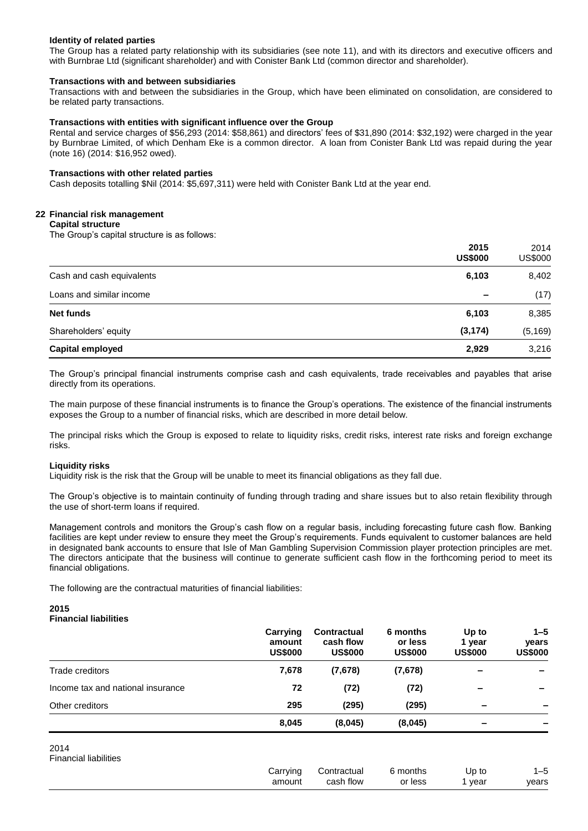## **Identity of related parties**

The Group has a related party relationship with its subsidiaries (see note 11), and with its directors and executive officers and with Burnbrae Ltd (significant shareholder) and with Conister Bank Ltd (common director and shareholder).

## **Transactions with and between subsidiaries**

Transactions with and between the subsidiaries in the Group, which have been eliminated on consolidation, are considered to be related party transactions.

### **Transactions with entities with significant influence over the Group**

Rental and service charges of \$56,293 (2014: \$58,861) and directors' fees of \$31,890 (2014: \$32,192) were charged in the year by Burnbrae Limited, of which Denham Eke is a common director. A loan from Conister Bank Ltd was repaid during the year (note 16) (2014: \$16,952 owed).

#### **Transactions with other related parties**

Cash deposits totalling \$Nil (2014: \$5,697,311) were held with Conister Bank Ltd at the year end.

## **22 Financial risk management**

#### **Capital structure**

The Group's capital structure is as follows:

| Net funds<br>Shareholders' equity | 6,103<br>(3, 174)      | 8,385<br>(5, 169) |
|-----------------------------------|------------------------|-------------------|
| Loans and similar income          |                        | (17)              |
| Cash and cash equivalents         | 6,103                  | 8,402             |
|                                   | 2015<br><b>US\$000</b> | 2014<br>US\$000   |

The Group's principal financial instruments comprise cash and cash equivalents, trade receivables and payables that arise directly from its operations.

The main purpose of these financial instruments is to finance the Group's operations. The existence of the financial instruments exposes the Group to a number of financial risks, which are described in more detail below.

The principal risks which the Group is exposed to relate to liquidity risks, credit risks, interest rate risks and foreign exchange risks.

#### **Liquidity risks**

Liquidity risk is the risk that the Group will be unable to meet its financial obligations as they fall due.

The Group's objective is to maintain continuity of funding through trading and share issues but to also retain flexibility through the use of short-term loans if required.

Management controls and monitors the Group's cash flow on a regular basis, including forecasting future cash flow. Banking facilities are kept under review to ensure they meet the Group's requirements. Funds equivalent to customer balances are held in designated bank accounts to ensure that Isle of Man Gambling Supervision Commission player protection principles are met. The directors anticipate that the business will continue to generate sufficient cash flow in the forthcoming period to meet its financial obligations.

The following are the contractual maturities of financial liabilities:

#### **2015 Financial liabilities**

|                                   | Carrying<br>amount<br><b>US\$000</b> | <b>Contractual</b><br>cash flow<br><b>US\$000</b> | 6 months<br>or less<br><b>US\$000</b> | Up to<br>year<br><b>US\$000</b> | $1 - 5$<br><b>vears</b><br><b>US\$000</b> |
|-----------------------------------|--------------------------------------|---------------------------------------------------|---------------------------------------|---------------------------------|-------------------------------------------|
| Trade creditors                   | 7,678                                | (7,678)                                           | (7,678)                               |                                 | $\overline{\phantom{a}}$                  |
| Income tax and national insurance | 72                                   | (72)                                              | (72)                                  | -                               | $\qquad \qquad$                           |
| Other creditors                   | 295                                  | (295)                                             | (295)                                 | $\overline{\phantom{0}}$        |                                           |
|                                   | 8,045                                | (8,045)                                           | (8,045)                               |                                 |                                           |

2014 Financial liabilities

| Carrving | Contractual   | ੇ months<br>ຼ | Up<br>to | '−ວ   |
|----------|---------------|---------------|----------|-------|
| amount   | cash<br>⊧flow | or less       | year     | years |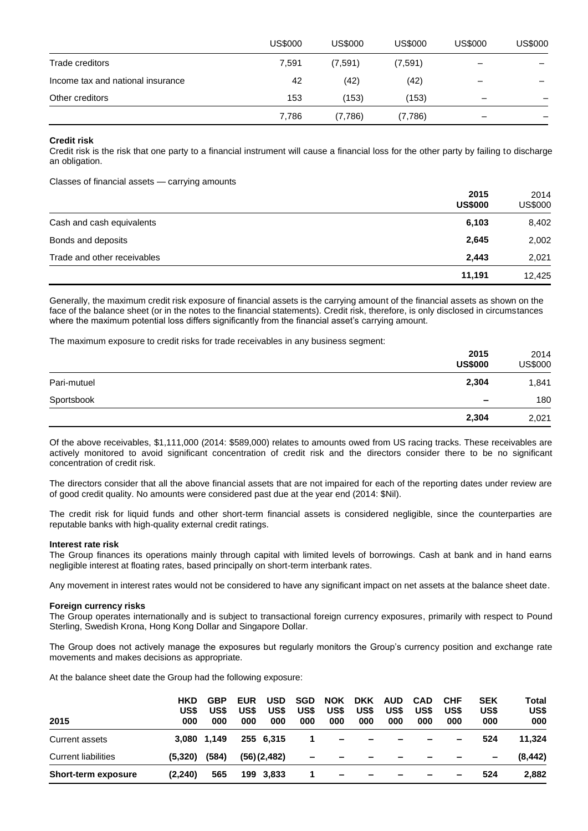|                                   | <b>US\$000</b> | <b>US\$000</b> | <b>US\$000</b> | <b>US\$000</b>               | <b>US\$000</b> |
|-----------------------------------|----------------|----------------|----------------|------------------------------|----------------|
| Trade creditors                   | 7,591          | (7,591)        | (7,591)        | $\qquad \qquad \blacksquare$ |                |
| Income tax and national insurance | 42             | (42)           | (42)           | $\overline{\phantom{0}}$     |                |
| Other creditors                   | 153            | (153)          | (153)          |                              |                |
|                                   | 7,786          | (7,786)        | (7,786)        |                              |                |

### **Credit risk**

Credit risk is the risk that one party to a financial instrument will cause a financial loss for the other party by failing to discharge an obligation.

Classes of financial assets — carrying amounts

|                             | 2015<br><b>US\$000</b> | 2014<br><b>US\$000</b> |
|-----------------------------|------------------------|------------------------|
| Cash and cash equivalents   | 6,103                  | 8,402                  |
| Bonds and deposits          | 2,645                  | 2,002                  |
| Trade and other receivables | 2.443                  | 2,021                  |
|                             | 11,191                 | 12,425                 |

Generally, the maximum credit risk exposure of financial assets is the carrying amount of the financial assets as shown on the face of the balance sheet (or in the notes to the financial statements). Credit risk, therefore, is only disclosed in circumstances where the maximum potential loss differs significantly from the financial asset's carrying amount.

The maximum exposure to credit risks for trade receivables in any business segment:

|             | 2015<br><b>US\$000</b>   | 2014<br><b>US\$000</b> |
|-------------|--------------------------|------------------------|
| Pari-mutuel | 2,304                    | 1,841                  |
| Sportsbook  | $\overline{\phantom{a}}$ | 180                    |
|             | 2,304                    | 2,021                  |

Of the above receivables, \$1,111,000 (2014: \$589,000) relates to amounts owed from US racing tracks. These receivables are actively monitored to avoid significant concentration of credit risk and the directors consider there to be no significant concentration of credit risk.

The directors consider that all the above financial assets that are not impaired for each of the reporting dates under review are of good credit quality. No amounts were considered past due at the year end (2014: \$Nil).

The credit risk for liquid funds and other short-term financial assets is considered negligible, since the counterparties are reputable banks with high-quality external credit ratings.

#### **Interest rate risk**

The Group finances its operations mainly through capital with limited levels of borrowings. Cash at bank and in hand earns negligible interest at floating rates, based principally on short-term interbank rates.

Any movement in interest rates would not be considered to have any significant impact on net assets at the balance sheet date.

#### **Foreign currency risks**

The Group operates internationally and is subject to transactional foreign currency exposures, primarily with respect to Pound Sterling, Swedish Krona, Hong Kong Dollar and Singapore Dollar.

The Group does not actively manage the exposures but regularly monitors the Group's currency position and exchange rate movements and makes decisions as appropriate.

At the balance sheet date the Group had the following exposure:

| 2015                       | <b>HKD</b><br>US\$<br>000 | <b>GBP</b><br>US\$<br>000 | <b>EUR</b><br>US\$<br>000 | <b>USD</b><br>US\$<br>000 | <b>SGD</b><br>US\$<br>000 | <b>NOK</b><br>US\$<br>000 | <b>DKK</b><br>US\$<br>000 | <b>AUD</b><br>US\$<br>000 | <b>CAD</b><br>US\$<br>000 | <b>CHF</b><br>US\$<br>000 | <b>SEK</b><br>US\$<br>000 | Total<br>US\$<br>000 |
|----------------------------|---------------------------|---------------------------|---------------------------|---------------------------|---------------------------|---------------------------|---------------------------|---------------------------|---------------------------|---------------------------|---------------------------|----------------------|
| Current assets             |                           | 3.080 1.149               |                           | 255 6.315                 |                           | $\overline{\phantom{a}}$  | $\overline{\phantom{0}}$  |                           |                           | $\overline{\phantom{0}}$  | 524                       | 11.324               |
| <b>Current liabilities</b> | (5,320)                   | (584)                     |                           | (56)(2,482)               | $\blacksquare$            |                           | -                         |                           |                           |                           | $\overline{\phantom{0}}$  | (8, 442)             |
| <b>Short-term exposure</b> | (2,240)                   | 565                       |                           | 199 3,833                 |                           | $\overline{\phantom{0}}$  | $\overline{\phantom{0}}$  | $\overline{\phantom{a}}$  | -                         | $\overline{\phantom{0}}$  | 524                       | 2,882                |